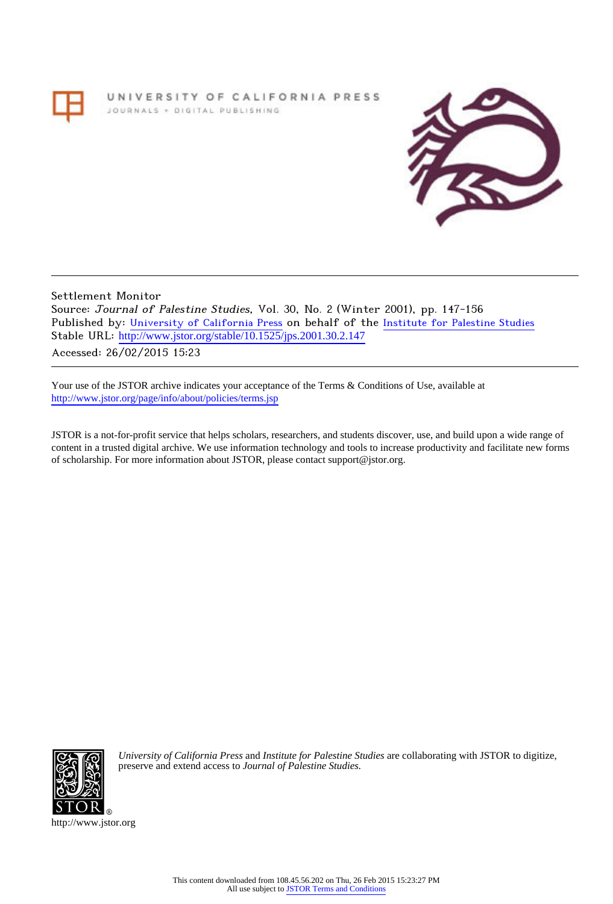## UNIVERSITY OF CALIFORNIA PRESS JOURNALS + DIGITAL PUBLISHING



Settlement Monitor Source: Journal of Palestine Studies, Vol. 30, No. 2 (Winter 2001), pp. 147-156 Published by: [University of California Press](http://www.jstor.org/action/showPublisher?publisherCode=ucal) on behalf of the [Institute for Palestine Studies](http://www.jstor.org/action/showPublisher?publisherCode=palstud) Stable URL: [http://www.jstor.org/stable/10.1525/jps.2001.30.2.147](http://www.jstor.org/stable/10.1525/jps.2001.30.2.147?origin=JSTOR-pdf) . Accessed: 26/02/2015 15:23

Your use of the JSTOR archive indicates your acceptance of the Terms & Conditions of Use, available at <http://www.jstor.org/page/info/about/policies/terms.jsp>

JSTOR is a not-for-profit service that helps scholars, researchers, and students discover, use, and build upon a wide range of content in a trusted digital archive. We use information technology and tools to increase productivity and facilitate new forms of scholarship. For more information about JSTOR, please contact support@jstor.org.



*University of California Press* and *Institute for Palestine Studies* are collaborating with JSTOR to digitize, preserve and extend access to *Journal of Palestine Studies.*

http://www.jstor.org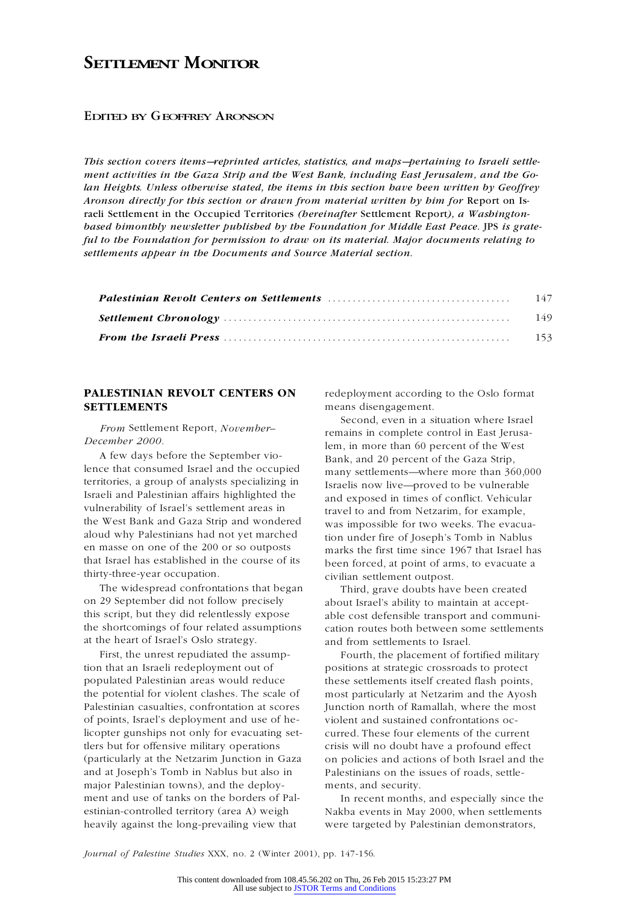## **SETTLEMENT MONITOR**

## EDITED BY GEOFFREY ARONSON

*This section covers items—reprinted articles, statistics, and maps—pertaining to Israeli settlement activities in the Gaza Strip and the West Bank, including East Jerusalem, and the Golan Heights. Unless otherwise stated, the items in this section have been written by Geoffrey Aronson directly for this section or drawn from material written by him for* Report on Israeli Settlement in the Occupied Territories *(hereinafter* Settlement Report*), a Washington based bimonthly newsletter published by the Foundation for Middle East Peace.* JPS *is grateful to the Foundation for permission to draw on its material. Major documents relating to settlements appear in the Documents and Source Material section.*

## **PALESTINIAN REVOLT CENTERS ON** redeployment according to the Oslo format **SETTLEMENTS** means disengagement.

*From* Settlement Report, *November–*

lence that consumed Israel and the occupied many settlements—where more than 360,000<br>territories, a group of analysts specializing in territis now live—proved to be vulnerable territories, a group of analysts specializing in Israelis now live—proved to be vulnerable Israeli and Palestinian affairs highlighted the and exposed in times of conflict. Vehicular<br>vulnerability of Israel's settlement areas in the travel to and from Netzarim for example vulnerability of Israel's settlement areas in travel to and from Netzarim, for example,<br>the West Bank and Gaza Strip and wondered was impossible for two weeks. The exacts the West Bank and Gaza Strip and wondered<br>aloud why Palestinians had not yet marched<br>en masse on one of the 200 or so outposts<br>that Israel has established in the course of its<br>the first time since 1967 that Israel has<br>that that Israel has established in the course of its been forced, at point of arms, to evacuate a thirty-three-year occupation. ty-three-year occupation. civilian settlement outpost.<br>The widespread confrontations that began a rhird grave doubts have

The widespread confrontations that began Third, grave doubts have been created<br>on 29 September did not follow precisely about Israel's ability to maintain at acceptthis script, but they did relentlessly expose able cost defensible transport and communi-<br>the shortcomings of four related assumptions cation routes both between some settlements at the heart of Israel's Oslo strategy. and from settlements to Israel.

tion that an Israeli redeployment out of positions at strategic crossroads to protect populated Palestinian areas would reduce these settlements itself created flash points, the potential for violent clashes. The scale of most particularly at Netzarim and the Ayosh Palestinian casualties, confrontation at scores Junction north of Ramallah, where the most of points, Israel's deployment and use of he- violent and sustained confrontations oclicopter gunships not only for evacuating set- curred. These four elements of the current tlers but for offensive military operations crisis will no doubt have a profound effect (particularly at the Netzarim Junction in Gaza on policies and actions of both Israel and the and at Joseph's Tomb in Nablus but also in Palestinians on the issues of roads, settlemajor Palestinian towns), and the deploy- ments, and security. ment and use of tanks on the borders of Pal- In recent months, and especially since the estinian-controlled territory (area A) weigh Nakba events in May 2000, when settlements heavily against the long-prevailing view that were targeted by Palestinian demonstrators,

Second, even in a situation where Israel *Prom* setuement Report, *November*<br>*December 2000.* lem, in more than 60 percent of the West<br>A few days before the September vio-<br>lence that consumed Israel and the occupied<br>many cettlements, where more than  $\frac{260}{100}$ 

> about Israel's ability to maintain at acceptcation routes both between some settlements

First, the unrest repudiated the assump- Fourth, the placement of fortified military

*Journal of Palestine Studies* XXX, no. 2 (Winter 2001), pp. 147-156.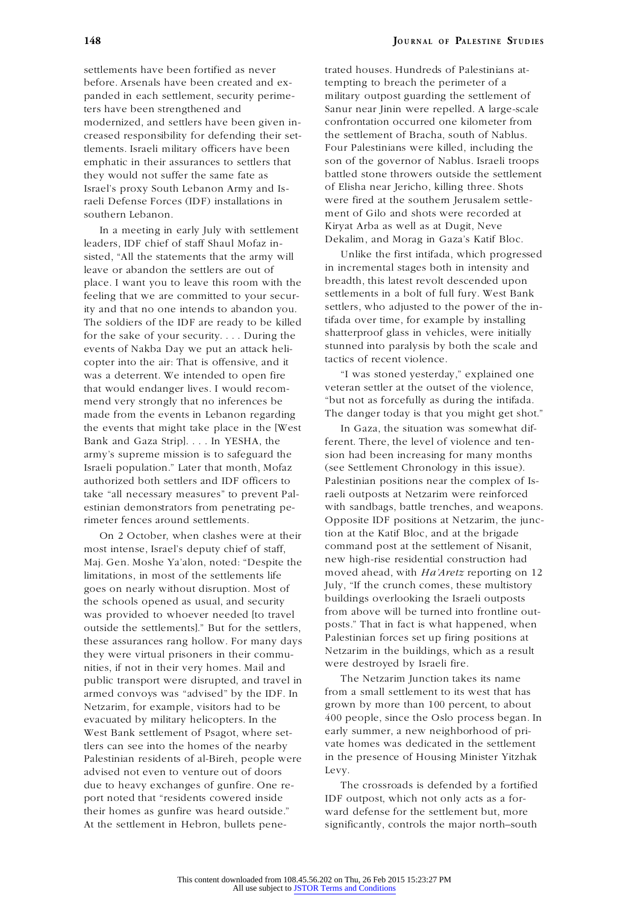settlements have been fortified as never trated houses. Hundreds of Palestinians atbefore. Arsenals have been created and ex- tempting to breach the perimeter of a panded in each settlement, security perime- military outpost guarding the settlement of ters have been strengthened and Sanur near Jinin were repelled. A large-scale modernized, and settlers have been given in- confrontation occurred one kilometer from creased responsibility for defending their set- the settlement of Bracha, south of Nablus. tlements. Israeli military officers have been Four Palestinians were killed, including the emphatic in their assurances to settlers that son of the governor of Nablus. Israeli troops they would not suffer the same fate as battled stone throwers outside the settlement Israel's proxy South Lebanon Army and Is- of Elisha near Jericho, killing three. Shots raeli Defense Forces (IDF) installations in were fired at the southern Jerusalem settlesouthern Lebanon. ment of Gilo and shots were recorded at

In a meeting in early July with settlement Kiryat Arba as well as at Dugit, Neve<br>
leaders, IDF chief of staff Shaul Mofaz in-<br>
Sixted "All the statements that the army will Unlike the first intifada, which progressed sisted, "All the statements that the army will leave or abandon the settlers are out of in incremental stages both in intensity and place I want you to leave this room with the breadth, this latest revolt descended upon place. I want you to leave this room with the breadth, this latest revolt descended upon<br>feeling that we are committed to your secur-<br>settlements in a bolt of full fury. West Bank feeling that we are committed to your secur-<br>ity and that no one intends to abandon you settlers, who adjusted to the power of the inity and that no one intends to abandon you. Settlers, who adjusted to the power of the in-<br>The soldiers of the IDE are ready to be killed if ada over time, for example by installing The soldiers of the IDF are ready to be killed tifada over time, for example by installing for the sake of your security During the shatterproof glass in vehicles, were initially shatterproof glass in vehicles, were initially for the sake of your security. . . . During the events of Nakba Day we put an attack heli-<br>conter into the sir: That is offensive and it tactics of recent violence. copter into the air: That is offensive, and it was a deterrent. We intended to open fire "I was stoned yesterday," explained one that would endanger lives. I would recom- veteran settler at the outset of the violence, mend very strongly that no inferences be "but not as forcefully as during the intifada. made from the events in Lebanon regarding The danger today is that you might get shot." the events that might take place in the [West In Gaza, the situation was somewhat dif-Bank and Gaza Stripl. . . . In YESHA, the ferent. There, the level of violence and tenarmy's supreme mission is to safeguard the sion had been increasing for many months Israeli population." Later that month, Mofaz (see Settlement Chronology in this issue). authorized both settlers and IDF officers to Palestinian positions near the complex of Istake "all necessary measures" to prevent Pal- raeli outposts at Netzarim were reinforced estinian demonstrators from penetrating pe- with sandbags, battle trenches, and weapons. rimeter fences around settlements. Opposite IDF positions at Netzarim, the junc-

most intense, Israel's deputy chief of staff, command post at the settlement of Nisanit<br>Mai Gen Moshe Va'alon, noted: "Despite the new high-rise residential construction had Maj. Gen. Moshe Ya'alon, noted: "Despite the mew high-rise residential construction had limitations, in most of the settlements life moved ahead, with  $Ha'Aretz$  reporting on 12 goes on nearly without discussion. Most of luly, goes on nearly without disruption. Most of July, "If the crunch comes, these multistory<br>the schools opened as usual, and security buildings overlooking the Israeli outposts the schools opened as usual, and security<br>the schools opened as usual, and security the schools overlooking the Israeli outposts<br>from above will be turned into frontline outwas provided to whoever needed [to travel from above will be turned into frontline out-<br>
posts." That in fact is what happened, when posts." That in fact is what happened, when outside the settlements]." But for the settlers, posts." That in fact is what happened, when these assumpts at the settlers of the settlers of the settlers of the settlers of the these assurances rang hollow. For many days<br>they were virtual prisoners in their community extraction in the buildings, which as a result they were virtual prisoners in their commu-<br>nities, if not in their very homes. Mail and were destroyed by Israeli fire.<br>nublic transport were disrupted and travel in The Netzarim Junction takes its name public transport were disrupted, and travel in armed convoys was "advised" by the IDF. In from a small settlement to its west that has<br>Netzarim for example visitors had to be grown by more than 100 percent, to about Netzarim, for example, visitors had to be grown by more than 100 percent, to about evacuated by military helicopters. In the 400 people, since the Oslo process began. In West Bank settlement of Psagot, where set-<br>
rearly summer, a new neighborhood of pri-<br>
rearly vate homes was dedicated in the settlement the ders can see into the homes of the nearby vate homes was dedicated in the settlement<br>
Palestinian residents of al-Bireh, people were in the presence of Housing Minister Yitzhak Palestinian residents of al-Bireh, people were advised not even to venture out of doors Levy. due to heavy exchanges of gunfire. One re- The crossroads is defended by a fortified port noted that "residents cowered inside IDF outpost, which not only acts as a fortheir homes as gunfire was heard outside." ward defense for the settlement but, more At the settlement in Hebron, bullets pene- significantly, controls the major north–south

On 2 October, when clashes were at their tion at the Katif Bloc, and at the brigade st intense Israel's deputy chief of staff command post at the settlement of Nisanit,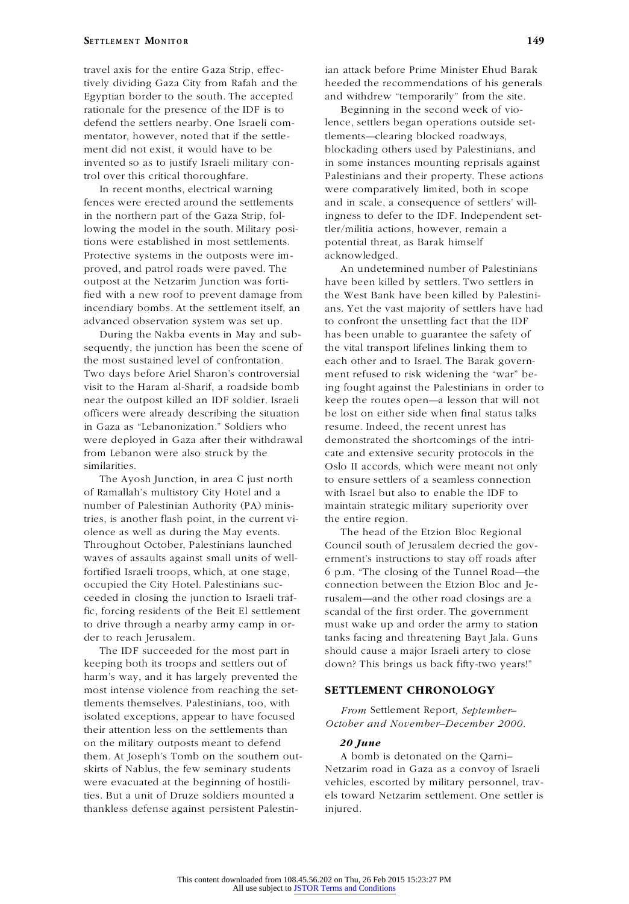## **EXAMPLE <b>EXAMPLE <b>M EXAMPLE <b>EXAMPLE 2 EXAMPLE 2 EXAMPLE 2 EXAMPLE 2 EXAMPLE 2 EXAMPLE 2 EXAMPLE 2 EXAMPLE 2 EXAMPLE 2 EXAMPLE 2 EXAMPLE 2 EXAMPLE 2 EXAMPLE 2 EXAMPLE 2 EXAMPLE 2 EXAMPLE 2**

Egyptian border to the south. The accepted and withdrew "temporarily" from the site. rationale for the presence of the IDF is to Beginning in the second week of viodefend the settlers nearby. One Israeli com- lence, settlers began operations outside set mentator, however, noted that if the settle-<br>tlements—clearing blocked roadways, ment did not exist, it would have to be blockading others used by Palestinians, and

fences were erected around the settlements and in scale, a consequence of settlers' willin the northern part of the Gaza Strip, fol- ingness to defer to the IDF. Independent setlowing the model in the south. Military posi-<br>tler/militia actions, however, remain a tions were established in most settlements. potential threat, as Barak himself Protective systems in the outposts were im- acknowledged. proved, and patrol roads were paved. The An undetermined number of Palestinians outpost at the Netzarim Junction was forti- have been killed by settlers. Two settlers in fied with a new roof to prevent damage from the West Bank have been killed by Palestiniadvanced observation system was set up. to confront the unsettling fact that the IDF

sequently, the junction has been the scene of the vital transport lifelines linking them to the most sustained level of confrontation. each other and to Israel. The Barak govern- Two days before Ariel Sharon's controversial ment refused to risk widening the "war" be visit to the Haram al-Sharif, a roadside bomb ing fought against the Palestinians in order to near the outpost killed an IDF soldier. Israeli keep the routes open—a lesson that will not officers were already describing the situation be lost on either side when final status talks in Gaza as "Lebanonization." Soldiers who resume. Indeed, the recent unrest has were deployed in Gaza after their withdrawal demonstrated the shortcomings of the intrifrom Lebanon were also struck by the cate and extensive security protocols in the similarities. Oslo II accords, which were meant not only

of Ramallah's multistory City Hotel and a with Israel but also to enable the IDF to number of Palestinian Authority (PA) minis- maintain strategic military superiority over tries, is another flash point, in the current vi- the entire region. olence as well as during the May events. The head of the Etzion Bloc Regional Throughout October, Palestinians launched Council south of Jerusalem decried the gov waves of assaults against small units of well- ernment's instructions to stay off roads after fortified Israeli troops, which, at one stage, 6 p.m. "The closing of the Tunnel Road—the occupied the City Hotel. Palestinians suc- connection between the Etzion Bloc and Jeceeded in closing the junction to Israeli traf- rusalem—and the other road closings are a fic, forcing residents of the Beit El settlement scandal of the first order. The government to drive through a nearby army camp in or- must wake up and order the army to station der to reach Jerusalem. tanks facing and threatening Bayt Jala. Guns

keeping both its troops and settlers out of down? This brings us back fifty-two years!" harm's way, and it has largely prevented the most intense violence from reaching the set- **SETTLEMENT CHRONOLOGY** tlements themselves. Palestinians, too, with *From Settlement Report, September–*<br> *From Settlement Report, September–*<br> *Cotober and November–December 2000.* their attention less on the settlements than on the military outposts meant to defend *20 June* them. At Joseph's Tomb on the southern out- A bomb is detonated on the Qarni– skirts of Nablus, the few seminary students Netzarim road in Gaza as a convoy of Israeli thankless defense against persistent Palestin- injured.

travel axis for the entire Gaza Strip, effec- ian attack before Prime Minister Ehud Barak tively dividing Gaza City from Rafah and the heeded the recommendations of his generals

invented so as to justify Israeli military con- in some instances mounting reprisals against trol over this critical thoroughfare. Palestinians and their property. These actions In recent months, electrical warning were comparatively limited, both in scope

incendiary bombs. At the settlement itself, an ans. Yet the vast majority of settlers have had During the Nakba events in May and sub- has been unable to guarantee the safety of The Ayosh Junction, in area C just north to ensure settlers of a seamless connection

The IDF succeeded for the most part in should cause a major Israeli artery to close

were evacuated at the beginning of hostili-<br>vehicles, escorted by military personnel, travties. But a unit of Druze soldiers mounted a els toward Netzarim settlement. One settler is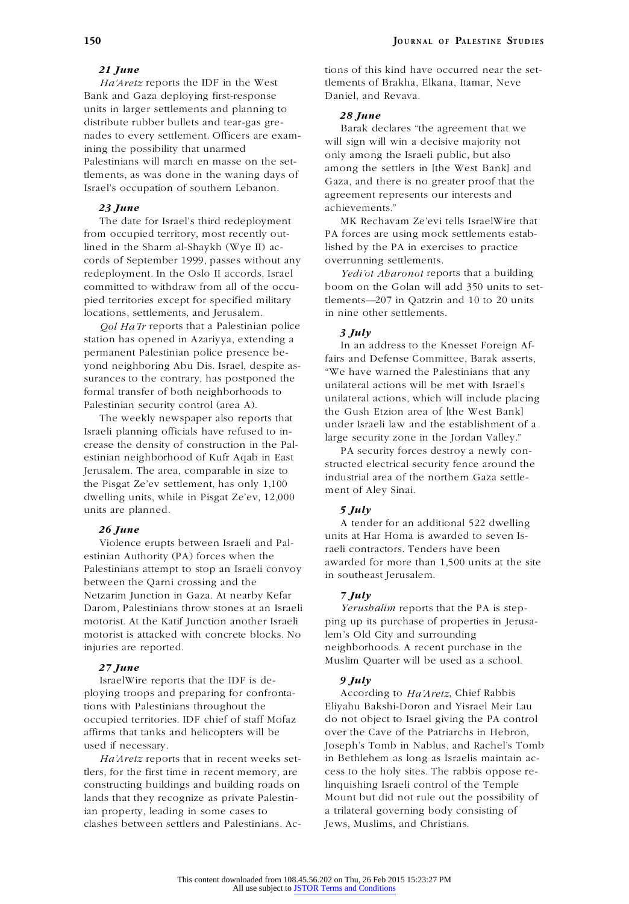Bank and Gaza deploying first-response Daniel, and Revava. units in larger settlements and planning to distribute rubber bullets and tear-gas gre-<br>distribute rubber bullets and tear-gas gre-<br>nades to every settlement. Officers are exam-<br>will sign will win a decisive majority not ining the possibility that unarmed

The date for Israel's third redeployment MK Rechavam Ze'evi tells IsraelWire that from occupied territory, most recently out-<br>
PA forces are using mock settlements establined in the Sharm al-Shaykh (Wye II) ac- lished by the PA in exercises to practice cords of September 1999, passes without any overrunning settlements. redeployment. In the Oslo II accords, Israel *Yedi'ot Aharonot* reports that a building pied territories except for specified military tlements—207 in Qatzrin and 10 to 20 units locations, settlements, and Jerusalem. **in** nine other settlements.

*Qol Ha'Ir* reports that a Palestinian police *3 July* station has opened in Azariyya, extending a permanent Palestinian police presence be-<br>
yond neighboring Abu Dis. Israel, despite as-<br>
say the mand Defense Committee, Barak asserts, yond neighboring Abu Dis. Israel, despite as-<br>surances to the contrary, has postponed the the Palestinians that any surances to the contrary, has postponed the unilateral actions will be met with Israel's formal transfer of both neighborhoods to

Israeli planning officials have refused to in-<br>
crease the density of construction in the Pal-<br>
estinian neighborhood of Kufr Aqab in East<br>
Jerusalem. The area, comparable in size to<br>
the Pisgat Ze'ev settlement, has only units are planned. *5 July*

estinian Authority (PA) forces when the awarded for more than 1,500 units at the site<br>Palestinians attempt to stop an Israeli convoy in southeast Jerusalem. Netzarim Junction in Gaza. At nearby Kefar *7 July* Darom, Palestinians throw stones at an Israeli *Yerushalim* reports that the PA is stepmotorist. At the Katif Junction another Israeli ping up its purchase of properties in Jerusamotorist is attacked with concrete blocks. No lem's Old City and surrounding injuries are reported. neighborhoods. A recent purchase in the

## *27 June*

IsraelWire reports that the IDF is de- *9 July* ploying troops and preparing for confronta- According to *Ha'Aretz*, Chief Rabbis tions with Palestinians throughout the Eliyahu Bakshi-Doron and Yisrael Meir Lau affirms that tanks and helicopters will be over the Cave of the Patriarchs in Hebron,

tlers, for the first time in recent memory, are cess to the holy sites. The rabbis oppose re constructing buildings and building roads on linquishing Israeli control of the Temple lands that they recognize as private Palestin- Mount but did not rule out the possibility of ian property, leading in some cases to a trilateral governing body consisting of clashes between settlers and Palestinians. Ac- Jews, Muslims, and Christians.

**21 June** tions of this kind have occurred near the set-*Ha'Aretz* reports the IDF in the West tlements of Brakha, Elkana, Itamar, Neve

Palestinians will march en masse on the set-<br>
lements, as was done in the waning days of<br>
Israel's occupation of southern Lebanon.<br>
Israel's occupation of southern Lebanon.<br>
The settlers in [the West Bank] and<br>  $\frac{1}{2}$  G *23 June* achievements."

committed to withdraw from all of the occu- boom on the Golan will add 350 units to set-

In an address to the Knesset Foreign Af-Formal transfer of both heighborhoods to<br>
Palestinian security control (area A).<br>
The weekly newspaper also reports that<br>
Israeli planning officials have refused to in-

**26** *June*<br>
Violence erupts between Israeli and Pal-<br>
violence erupts between Israeli and Pal-<br>
raeli contractors. Tenders have been<br>
rational is awarded to seven Is-<br>
rational contractors. Tenders have been

Muslim Quarter will be used as a school.

occupied territories. IDF chief of staff Mofaz do not object to Israel giving the PA control used if necessary. Joseph's Tomb in Nablus, and Rachel's Tomb *Ha'Aretz* reports that in recent weeks set- in Bethlehem as long as Israelis maintain ac-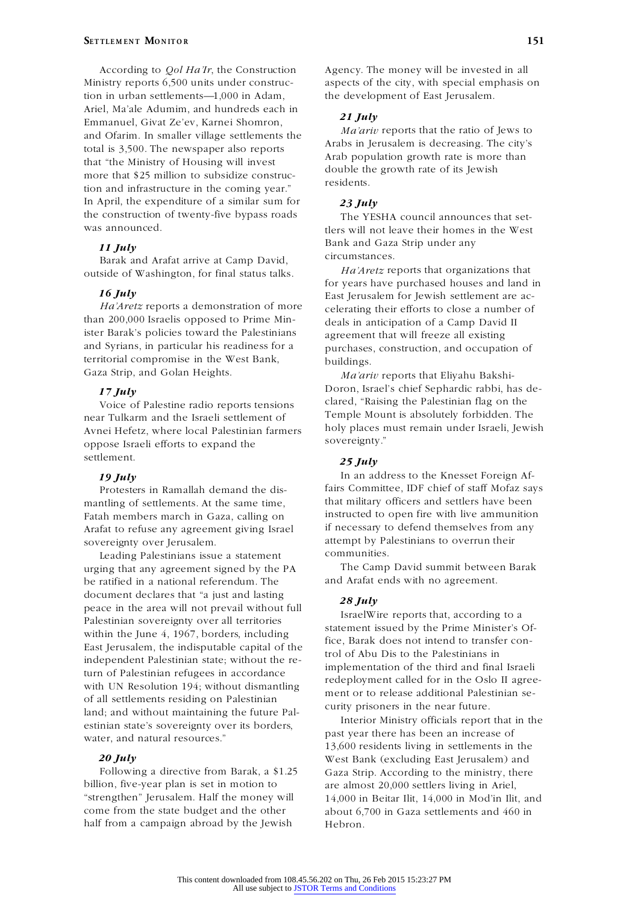Ministry reports 6,500 units under construc- aspects of the city, with special emphasis on tion in urban settlements—1,000 in Adam, the development of East Jerusalem. Ariel, Ma'ale Adumim, and hundreds each in *21 July*<br>
Emmanuel, Givat Ze'ev, Karnei Shomron,<br> *21 July*<br> *Ma'ariv* reports that the ratio of Jews to and Ofarim. In smaller village settlements the total is 3,500. The newspaper also reports <br>
Arab some growth rate is more than<br>  $\frac{1}{25}$  and  $\frac{1}{25}$  and  $\frac{1}{25}$  are than<br>  $\frac{1}{25}$  and  $\frac{1}{25}$  and  $\frac{1}{25}$  and  $\frac{1}{25}$  and  $\frac{1}{25}$  and  $\frac{1}{25}$  and more that \$25 million to subsidize construc-<br>tion and infrastructure in the coming year." residents. In April, the expenditure of a similar sum for *23 July* the construction of twenty-five bypass roads<br>
The YESHA council announces that set-<br>
vas announced.<br>
The YESHA council announces that set-<br>
vas announced.

Barak and Arafat arrive at Camp David,<br>side of Washington, for final status talks Ha'Aretz reports that organizations that outside of Washington, for final status talks.

than 200,000 Israelis opposed to Prime Min-<br>ister Barak's policies toward the Palestinians are approach that will freeze all existing ister Barak's policies toward the Palestinians agreement that will freeze all existing<br>and Syrians, in particular his readiness for a submanisers construction and occupati territorial compromise in the West Bank, buildings.<br>Gaza Strip, and Golan Heights.  $M_a$ 

near Tulkarm and the Israeli settlement of Temple Mount is absolutely forbidden. The near Tulkarm and the Israeli settlement of near Temple Mount is absolutely forbidden. The near  $\frac{1}{2}$ Avnei Hefetz, where local Palestinian farmers holy places remained the sovereignty." oppose Israeli efforts to expand the settlement. *25 July*

Arafat to refuse any agreement giving Israel

Leading Palestinians issue a statement urging that any agreement signed by the PA The Camp David summit between Barak be ratified in a national referendum. The and Arafat ends with no agreement. document declares that "a just and lasting<br>
peace in the area will not prevail without full<br>
Palestinian sovereignty over all territories<br>
statement issued by the Prime Minister's Of-Nuclear the Southin the June 4, 1967, borders, including<br>
East Jerusalem, the indisputable capital of the fice, Barak does not intend to transfer con-<br>
independent Palestinian state; without the re-<br>
turn of Palestinian re of all settlements residing on Palestinian<br>land; and without maintaining the future Pal-<br>land; and without maintaining the future Pal-<br>laterior Ministry officials report that in the

billion, five-year plan is set in motion to are almost 20,000 settlers living in Ariel, come from the state budget and the other about 6,700 in Gaza settlements and 460 in half from a campaign abroad by the Jewish Hebron half from a campaign abroad by the Jewish

According to *Qol Ha'Ir*, the Construction Agency. The money will be invested in all

Arabs in Jerusalem is decreasing. The city's

tlers will not leave their homes in the West Bank and Gaza Strip under any *<sup>11</sup> July*

for years have purchased houses and land in **16** *July* East Jerusalem for Jewish settlement are ac-<br> *Ha'Aretz* reports a demonstration of more<br>
than 200,000 Israelis opposed to Prime Min-<br>
deals in anticipation of a Camp David II purchases, construction, and occupation of

Ma'ariv reports that Eliyahu Bakshi-17 *July* **217** *Doron*, Israel's chief Sephardic rabbi, has de-<br>*Voice* of Palestine radio reports tensions clared, "Raising the Palestinian flag on the Voice of Palestine radio reports tensions clared, "Raising the Palestinian flag on the vertical vertical vertical vertical vertical vertical vertical vertical vertical vertical vertical vertical vertical vertical vertical

**19 July** In an address to the Knesset Foreign Af-<br>**Protesters** in Ramallah demand the dis-<br>*fairs* Committee, IDF chief of staff Mofaz says Protesters in Ramallah demand the dis-<br>
of settlements At the same time that military officers and settlers have been<br>
that military officers and settlers have been mantling of settlements. At the same time, that military officers and settlers have been<br>Eatah members march in Gaza, calling on instructed to open fire with live ammunition Fatah members march in Gaza, calling on instructed to open fire with live ammunition<br>Arafat to refuse any agreement giving Israel if necessary to defend themselves from any sovereignty over Jerusalem. attempt by Palestinians to overrun their<br>Leading Palestinians issue a statement communities.

Interior Ministry officials report that in the estinian state's sovereignty over its borders,<br>water, and natural resources." The estimate past year there has been an increase of  $13,600$  residents living in settlements in **20 July 20 July West Bank (excluding East Jerusalem) and** Following a directive from Barak, a \$1.25 Gaza Strip. According to the ministry, there "strengthen" Jerusalem. Half the money will 14,000 in Beitar Ilit, 14,000 in Mod'in Ilit, and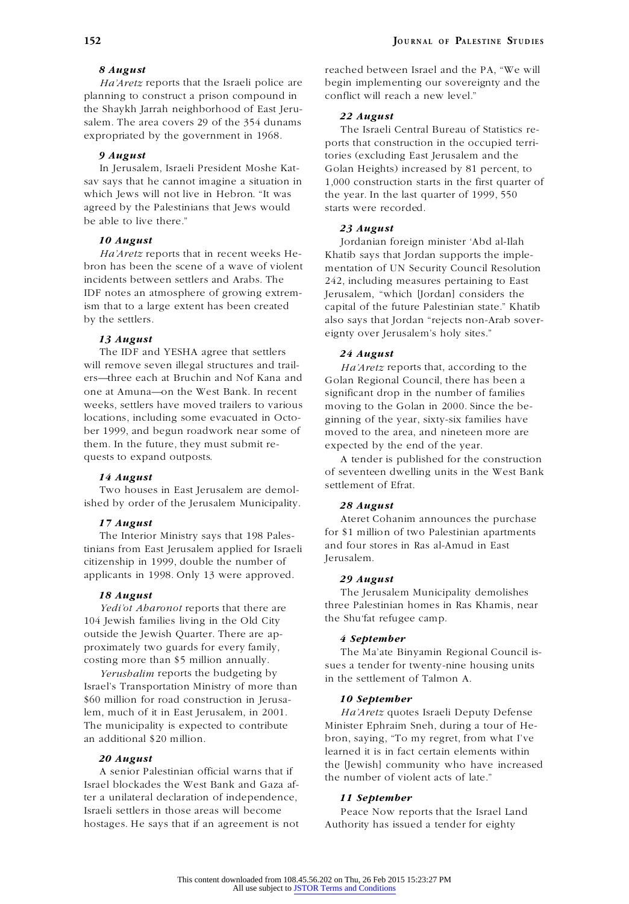planning to construct a prison compound in conflict will reach a new level." the Shaykh Jarrah neighborhood of East Jeru-<br>
salem. The area covers 29 of the 354 dunams The Israeli Central Bureau of Statistics re-<br>
The Israeli Central Bureau of Statistics re-

which Jews will not live in Hebron. "It was the year. In the last quarter of 1999, 550 agreed by the Palestinians that Jews would starts were recorded. be able to live there."

*Ha'Aretz* reports that in recent weeks He-<br>bron has been the scene of a wave of violent mentation of UN Security Council Resolution incidents between settlers and Arabs. The 242, including measures pertaining to East<br>IDF notes an atmosphere of growing extrem-<br>International Considers the ism that to a large extent has been created capital of the future Palestinian state." Khatib

The IDF and YESHA agree that settlers *24 August* will remove seven illegal structures and trail-<br>ers—three each at Bruchin and Nof Kana and<br>Golan Regional Council there has been a ers—three each at Bruchin and Nof Kana and Golan Regional Council, there has been a<br>one at Amuna—on the West Bank. In recent significant drop in the number of families one at Amuna—on the West Bank. In recent significant drop in the number of families weeks, settlers have moved trailers to various moving to the Golan in 2000. Since the belocations, including some evacuated in Octo-<br>
original of the year, sixty-six families have<br>
left 1999, and begun roadwork near some of moved to the area, and nineteen more are them. In the future, they must submit re- expected by the end of the year. quests to expand outposts. A tender is published for the construction

ished by order of the Jerusalem Municipality. *28 August*

tinians from East Jerusalem applied for Israeli and four s<br>attingueship in 1000 double the appelence of **Israeli** citizenship in 1999, double the number of applicants in 1998. Only 13 were approved. *29 August*

*Tedi'ot Aharonot* reports that there are *three Palestinian homes in*<br>*Yenish families living in the Old City the Shu'fat refugee camp.* 104 Jewish families living in the Old City outside the Jewish Quarter. There are ap- *<sup>4</sup> September* proximately two guards for every family,<br>costing more than \$5 million annually.

*Yerushalim* reports the budgeting by in the settlement of Talmon A. Israel's Transportation Ministry of more than \$60 million for road construction in Jerusa- *10 September* lem, much of it in East Jerusalem, in 2001. *Ha'Aretz* quotes Israeli Deputy Defense The municipality is expected to contribute Minister Ephraim Sneh, during a tour of He an additional \$20 million. bron, saying, "To my regret, from what I've

A senior Palestinian official warns that if the number of violent acts of late."<br>Israel blockades the West Bank and Gaza after a unilateral declaration of independence, *11 September* Israeli settlers in those areas will become<br>  $\frac{1}{2}$  Peace Now reports that the Israel Land<br>
hostages. He says that if an agreement is not<br>  $\frac{1}{2}$  Authority has issued a tender for eighty

**8 August** reached between Israel and the PA, "We will *Ha'Aretz* reports that the Israeli police are begin implementing our sovereignty and the

ports that construction in the occupied terri-**9 August** tories (excluding East Jerusalem and the In Jerusalem, Israeli President Moshe Kat- Golan Heights) increased by 81 percent, to sav says that he cannot imagine a situation in 1,000 construction starts in the first quarter of

## *23 August*

**10** *August* Jordanian foreign minister 'Abd al-Ilah *Ha'Aretz* reports that in recent weeks He-<br>Khatib says that Jordan supports the implement mentation of UN Security Council Resolution Ierusalem, "which [Jordan] considers the by the settlers. also says that Jordan "rejects non-Arab sover eignty over Jerusalem's holy sites." *<sup>13</sup> August*

moving to the Golan in 2000. Since the bemoved to the area, and nineteen more are

**14** *August* of seventeen dwelling units in the West Bank<br>Two houses in East Jerusalem are demol-settlement of Efrat.

17 **August**<br>The Interior Ministry says that 198 Pales. **108 Pales in the Interior Ministry says that 198 Pales. 108 Pales 108 Pales 108 Pales 108 Pales 108 Pales 108 Pales 108 Pales 108 Pales 108 Pales** for \$1 million of two Palestinian apartments The Interior Ministry says that 198 Pales-<br>The Interior Ministry Says that 198 Pales-<br>and four stores in Ras al-Amud in East

**18** *August* The Jerusalem Municipality demolishes<br>Vadilat Aharonot reports that there are three Palestinian homes in Ras Khamis, near

sues a tender for twenty-nine housing units

learned it is in fact certain elements within **20** *August*<br>A senior Palestinian official warns that if

Authority has issued a tender for eighty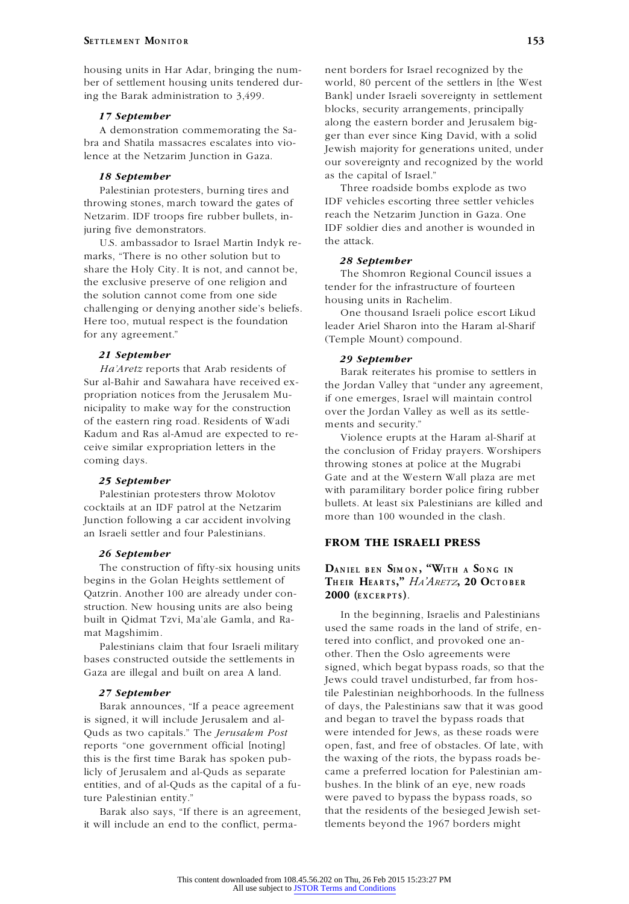housing units in Har Adar, bringing the num- nent borders for Israel recognized by the ber of settlement housing units tendered dur- world, 80 percent of the settlers in [the West ing the Barak administration to 3,499. Bank] under Israeli sovereignty in settlement

IDF vehicles escorting three settler vehicle<br>
Netzarim IDF troops fire rubber bullets in-<br>
reach the Netzarim Iunction in Gaza. One Netzarim. IDF troops fire rubber bullets, in-

U.S. ambassador to Israel Martin Indyk remarks, "There is no other solution but to *28 September* share the Holy City. It is not, and cannot be,<br>the shomron Regional Council issues a<br>tender for the infrastructure of fourteen the solution cannot come from one side housing units in Rachelim. challenging or denying another side's beliefs. One thousand Israeli police escort Likud Here too, mutual respect is the foundation for any agreement." (Temple Mount) compound.

*21 September 29 September Ha'Aretz* reports that Arab residents of Barak reiterates his promise to settlers in Sur al-Bahir and Sawahara have received ex-<br>the Iordan Valley that "under any agreement" propriation notices from the Jerusalem Mu-<br>
if one emerges, Israel will maintain control<br>
over the Jordan Valley as well as its settle of the eastern ring road. Residents of Wadi ments and security."<br>Kadum and Ras al-Amud are expected to reviolence erunts

bullets. At least six Palestinians are killed and IDF patrol at the Netzarim and could build a more than 100 wounded in the clash. Junction following a car accident involving an Israeli settler and four Palestinians. **FROM THE ISRAELI PRESS**

## *26 September*

The construction of fifty-six housing units<br>begins in the Golan Heights settlement of<br>THEIR HEARTS," HA'ARETZ, 20 OCTOB Qatzrin. Another 100 are already under con-<br>**2000** (**EXCERPTS**). struction. New housing units are also being In the beginning, Israelis and Palestinians<br>
built in Qidmat Tzvi, Ma'ale Gamla, and Ra-<br>
used the same roads in the land of strife, en-

Gaza are illegal and built on area A land.

is signed, it will include Jerusalem and al- and began to travel the bypass roads that entities, and of al-Quds as the capital of a fu- bushes. In the blink of an eye, new roads ture Palestinian entity." were paved to bypass the bypass roads, so

it will include an end to the conflict, perma-

**17 September** blocks, security arrangements, principally along the eastern border and Jerusalem big-<br>
A demonstration commemorating the Sa-<br>
bra and Shatila massacres escalates into vioger than ever since King David, with a solid bra and Shatila massacres escalates into vio-<br>lence at the Netzarim Junction in Gaza. Jewish majority for generations united, under<br>our sovereignty and recognized by the world **18 September** as the capital of Israel."<br>Palestinian protesters burning tires and Three roadside bombs explode as two

Palestinian protesters, burning tires and<br>
Three roadside bombs explode as two<br>
Three roadside bombs explode as two<br>
Three settler vehicles juring five demonstrators.<br>IDF soldier dies and another is wounded in<br>ILS ambassador to Israel Martin Induk re-

tender for the infrastructure of fourteen

leader Ariel Sharon into the Haram al-Sharif

Sur al-Bahir and Sawahara have received ex-<br>
propriation notices from the Jerusalem Mu-<br>
if one emerges Israel will maintain control over the Jordan Valley as well as its settle-

Kadum and Ras al-Amud are expected to re-<br>
violence erupts at the Haram al-Sharif at<br>
ceive similar expropriation letters in the<br>
the conclusion of Friday prayers. Worshipers<br>
coming days.<br>
throwing stones at police at the Gate and at the Western Wall plaza are met *25 September* Palestinian protesters throw Molotov with paramilitary border police firing rubber Palestinian protesters throw Molotov bullets. At least six Palestinians are killed and

# THEIR HEARTS," HA'ARETZ, 20 OCTOBER

mat Magshimim.<br>
Palestinians claim that four Israeli military<br>
bases constructed outside the settlements in<br>  $\frac{1}{2}$ <br>
conflict, and provoked one an-<br>
other. Then the Oslo agreements were<br>
signed, which begat bypass roads Jews could travel undisturbed, far from hos-27 **September tile Palestinian neighborhoods. In the fullness** Barak announces, "If a peace agreement of days, the Palestinians saw that it was good Quds as two capitals." The *Jerusalem Post* were intended for Jews, as these roads were reports "one government official [noting] open, fast, and free of obstacles. Of late, with this is the first time Barak has spoken pub- the waxing of the riots, the bypass roads belicly of Jerusalem and al-Quds as separate came a preferred location for Palestinian am- Barak also says, "If there is an agreement, that the residents of the besieged Jewish set-<br>vill include an end to the conflict, perma-<br>tlements beyond the 1967 borders might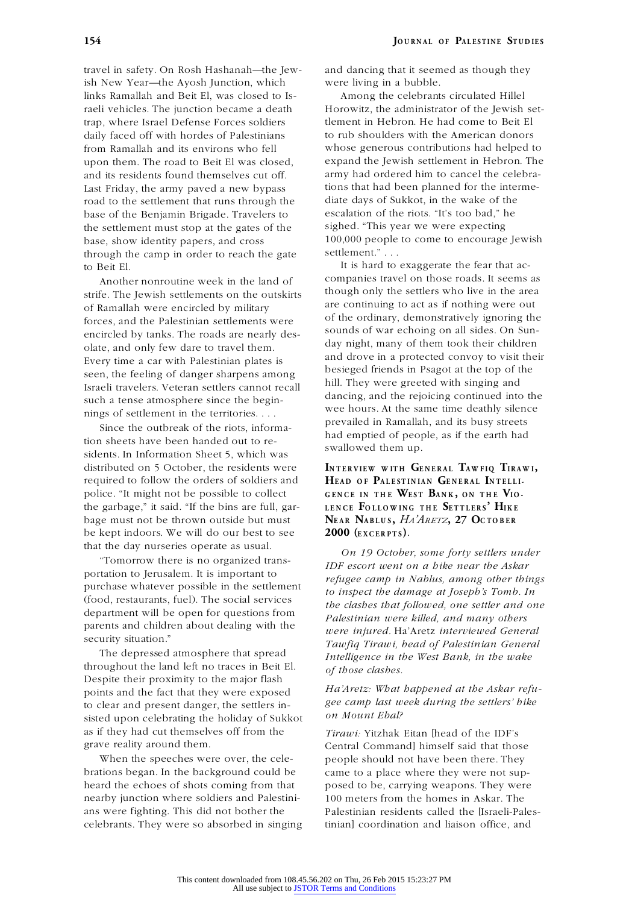ish New Year—the Ayosh Junction, which were living in a bubble. links Ramallah and Beit El, was closed to Is- Among the celebrants circulated Hillel trap, where Israel Defense Forces soldiers tlement in Hebron. He had come to Beit El daily faced off with hordes of Palestinians to rub shoulders with the American donors road to the settlement that runs through the base of the Benjamin Brigade. Travelers to escalation of the riots. "It's too bad," he the settlement must stop at the gates of the sighed. "This year we were expecting base, show identity papers, and cross 100,000 people to come to encourage Jewish through the camp in order to reach the gate settlement."... through the camp in order to reach the gate

strife. The Jewish settlements on the outskirts<br>of Ramallah were encircled by military<br>forces, and the Palestinian settlements were<br>encircled by tanks. The roads are nearly described by tanks. The roads are nearly describe encircled by tanks. The roads are nearly des-<br>olate and only few date to travel them day night, many of them took their children Every time a car with Palestinian plates is<br>seen the feeling of danger sharpens among besieged friends in Psagot at the top of the

distributed on 5 October, the residents were<br>required to follow the orders of soldiers and<br>HEAD OF PALESTINIAN GENERAL INTELLIrequired to follow the orders of soldiers and **H<sup>E</sup> <sup>A</sup> <sup>D</sup> <sup>O</sup> <sup>F</sup>P<sup>A</sup> <sup>L</sup> <sup>E</sup> ST IN IA <sup>N</sup> G<sup>E</sup> <sup>N</sup> <sup>E</sup> <sup>R</sup> <sup>A</sup> <sup>L</sup> I<sup>N</sup> <sup>T</sup> <sup>E</sup> <sup>L</sup> <sup>L</sup> I**police. "It might not be possible to collect the garbage," it said. "If the bins are full, gar-<br>bage must not be thrown outside but must<br>NEAR NABLUS, HA'ARETZ, 27 OCTOBER bage must not be thrown outside but must be kept indoors. We will do our best to see **2000 (EXCERPTS)**. that the day nurseries operate as usual.

portation to Jerusalem. It is important to parents and children about dealing with the *were injured.* Ha'Aretz *interviewed General*

The depressed atmosphere that spread *Intelligence in the West Bank, in the wake*<br>throughout the land left no traces in Beit El. of those clashes throughout the land left no traces in Beit El. *of those clashes.*<br>
Despite their proximity to the major flash<br>
points and the fact that they were exposed Ha'Aretz: What happened at the Askar refupoints and the fact that they were exposed<br>to clear and present danger the settlers in gee camp last week during the settlers' hike to clear and present danger, the settlers in-<br>sisted upon celebrating the holiday of Sukkot on Mount Ebal? as if they had cut themselves off from the *Tirawi:* Yitzhak Eitan [head of the IDF's grave reality around them. Central Command] himself said that those

brations began. In the background could be came to a place where they were not supheard the echoes of shots coming from that posed to be, carrying weapons. They were nearby junction where soldiers and Palestini- 100 meters from the homes in Askar. The ans were fighting. This did not bother the Palestinian residents called the [Israeli-Pales celebrants. They were so absorbed in singing tinian] coordination and liaison office, and

travel in safety. On Rosh Hashanah—the Jew- and dancing that it seemed as though they

raeli vehicles. The junction became a death Horowitz, the administrator of the Jewish setfrom Ramallah and its environs who fell whose generous contributions had helped to upon them. The road to Beit El was closed, expand the Jewish settlement in Hebron. The and its residents found themselves cut off. army had ordered him to cancel the celebra-Last Friday, the army paved a new bypass tions that had been planned for the interme-<br>road to the settlement that runs through the diate days of Sukkot, in the wake of the

It is hard to exaggerate the fear that ac-<br>Apother poproutine week in the land of companies travel on those roads. It seems as Another nonroutine week in the land of companies travel on those roads. It seems as<br>the lewish settlements on the outskirts though only the settlers who live in the area olate, and only few dare to travel them.<br>Every time a car with Palestinian plates is and drove in a protected convoy to visit their besieged friends in Psagot at the top of the seen, the feeling of danger sharpens among hill. They were greeted with singing and Israeli travelers. Veteran settlers cannot recall hill. They were greeted with singing and th such a tense atmosphere since the begin-<br>nings of settlement in the territories....<br>Since the outbreak of the riots, informa-<br>tion sheets have been handed out to re-<br>sidents. In Information Sheet 5, which was<br>swallowed the

*On 19 October, some forty settlers under* "Tomorrow there is no organized trans- *IDF escort went on a hike near the Askar refugee camp in Nablus, among other things*<br>purchase whatever possible in the settlement *to inspect the damage at Joseph's Tomb. In*<br>(food, restaurants, fuel). The social services (food, restaurants, fuel). The social services *the clashes that followed, one settler and one*<br>department will be open for questions from *Palestinian were killed, and many others*<br>parents and children about dealing with inty situation.<br>The depressed atmosphere that spread *<i>Tawfiq Tirawi, head of Palestinian General*<br>*Intelligance in the West Bank in the wahe* 

Central Command] himself said that those When the speeches were over, the cele- people should not have been there. They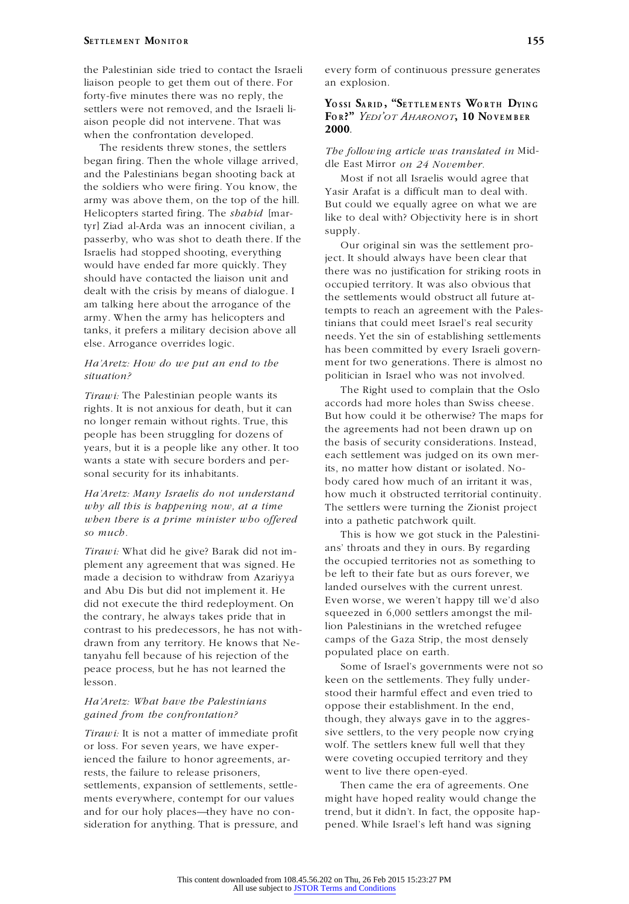liaison people to get them out of there. For an explosion. forty-five minutes there was no reply, the settlers were not removed, and the Israeli liaison people did not intervene. That was **<sup>2000</sup>**. when the confrontation developed.

The residents threw stones, the settlers *The following article was translated in* Midbegan firing. Then the whole village arrived,<br>
and the Palestinians began shooting back at Most if not all Israelis would agree that<br>
the soldiers who were firing. You know, the<br> **Sacin Arafat** is a difficult man to deal w the soldiers who were firing. You know, the Yasir Arafat is a difficult man to deal with.<br>
That could we equally agree on what we a army was above them, on the top of the hill.<br>Helicopters started firing. The *shahid* [mar- like to deal with? Objectivity here is in short tyr] Ziad al-Arda was an innocent civilian, a passerby, who was shot to death there. If the supply.<br>
Israelis had stopped shooting, everything<br>
would have ended far more quickly. They been clear that there was no justification for striking roots in should have contacted the liaison unit and should have contacted the hason unit and<br>dealt with the crisis by means of dialogue. I be settlements would obstruct all future at-

people has been struggling for dozens of the agreements had not been drawn up on people has been struggling for dozens of the basis of security considerations. Instead, wants a state with secure borders and per-<br>its, no matter how distant or isolated. No-

# *when there is a prime minister who offered* into a pathetic patchwork quilt. *so much*. This is how we got stuck in the Palestini-

plement any agreement that was signed. He<br>the occupied territories not as something to<br>the people of plement any agreement that was signed. Here the people of their fate but as ours forever, we made a decision to withdraw from Azariyya be left to their fate but as ours forever, w<br>and the Current unrest. and Abu Dis but did not implement it. He <sup>landed</sup> ourselves with the current unrest.<br>
did not execute the third redeployment. On Even worse, we weren't happy till we'd also<br>
the contrary he always takes pride that in squee the contrary, he always takes pride that in squeezed in 6,000 settlers amongst the m<br>contrast to his predecessors he has not with. lion Palestinians in the wretched refugee contrast to his predecessors, he has not with-<br>drawn from any territory  $He$  knows that  $Ne$ -<br>camps of the Gaza Strip, the most densely drawn from any territory. He knows that Ne-camps of the Gaza Strip, the most dense of his rejection of the populated place on earth. tanyahu fell because of his rejection of the peace process, but he has not learned the Some of Israel's governments were not so

or loss. For seven years, we have experienced the failure to honor agreements, ar- were coveting occupied territory and they rests, the failure to release prisoners, went to live there open-eyed. settlements, expansion of settlements, settle- Then came the era of agreements. One ments everywhere, contempt for our values might have hoped reality would change the and for our holy places—they have no con- trend, but it didn't. In fact, the opposite hapsideration for anything. That is pressure, and pened. While Israel's left hand was signing

the Palestinian side tried to contact the Israeli every form of continuous pressure generates

# YOSSI SARID, "SETTLEMENTS WORTH DYING **F<sup>O</sup> <sup>R</sup> ?"** *YEDI'OT AHARONOT***, 10 N<sup>O</sup> <sup>V</sup> <sup>E</sup> <sup>M</sup> BE <sup>R</sup>**

am talking here about the arrogance of the tempts to reach an agreement with the Pales-<br>army. When the army has helicopters and<br>teinge that agail most Ignally need against army. When the army has helicopters and<br>tinians that could meet Israel's real security<br>tanks, it prefers a military decision above all<br>else. Arrogance overrides logic.<br>has been committed by every Israeli govern-*Ha'Aretz: How do we put an end to the* ment for two generations. There is almost no *situation?* politician in Israel who was not involved.

The Right used to complain that the Oslo *Tirawi:* The Palestinian people wants its rights. It is not anxious for death, but it can<br>no longer remain without rights. True, this<br>no longer remain without rights. True, this<br>no longer remain without rights. True, this<br>no longer remain without rights. True, thi years, but it is a people like any other. It too when the basis of security considerations. Instead,  $\frac{1}{2}$  each settlement was judged on its own mersonal security for its inhabitants.<br>body cared how much of an irritant it was, *Ha'Aretz: Many Israelis do not understand* how much it obstructed territorial continuity. *why all this is happening now, at a time* The settlers were turning the Zionist project

ans' throats and they in ours. By regarding *Tirawi:* What did he give? Barak did not im-

keen on the settlements. They fully under-<br>stood their harmful effect and even tried to *Ha'Aretz: What have the Palestinians* oppose their establishment. In the end, *gained from the confrontation?* the end, *though*, they always gave in to the aggres-*Tirawi:* It is not a matter of immediate profit sive settlers, to the very people now crying or loss. For seven vears, we have exper-<br>wolf. The settlers knew full well that they